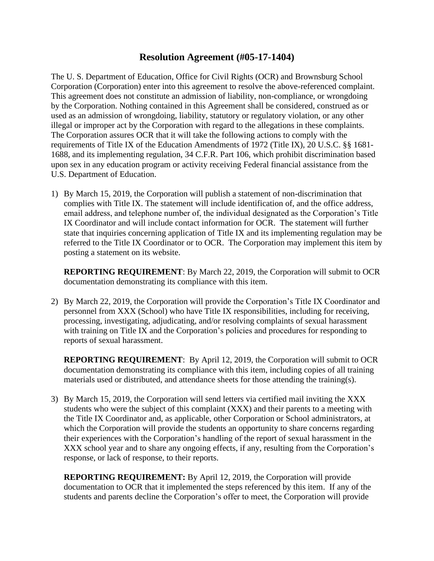## **Resolution Agreement (#05-17-1404)**

The U. S. Department of Education, Office for Civil Rights (OCR) and Brownsburg School Corporation (Corporation) enter into this agreement to resolve the above-referenced complaint. This agreement does not constitute an admission of liability, non-compliance, or wrongdoing by the Corporation. Nothing contained in this Agreement shall be considered, construed as or used as an admission of wrongdoing, liability, statutory or regulatory violation, or any other illegal or improper act by the Corporation with regard to the allegations in these complaints. The Corporation assures OCR that it will take the following actions to comply with the requirements of Title IX of the Education Amendments of 1972 (Title IX), 20 U.S.C. §§ 1681- 1688, and its implementing regulation, 34 C.F.R. Part 106, which prohibit discrimination based upon sex in any education program or activity receiving Federal financial assistance from the U.S. Department of Education.

1) By March 15, 2019, the Corporation will publish a statement of non-discrimination that complies with Title IX. The statement will include identification of, and the office address, email address, and telephone number of, the individual designated as the Corporation's Title IX Coordinator and will include contact information for OCR. The statement will further state that inquiries concerning application of Title IX and its implementing regulation may be referred to the Title IX Coordinator or to OCR. The Corporation may implement this item by posting a statement on its website.

**REPORTING REQUIREMENT**: By March 22, 2019, the Corporation will submit to OCR documentation demonstrating its compliance with this item.

2) By March 22, 2019, the Corporation will provide the Corporation's Title IX Coordinator and personnel from XXX (School) who have Title IX responsibilities, including for receiving, processing, investigating, adjudicating, and/or resolving complaints of sexual harassment with training on Title IX and the Corporation's policies and procedures for responding to reports of sexual harassment.

**REPORTING REQUIREMENT**:By April 12, 2019, the Corporation will submit to OCR documentation demonstrating its compliance with this item, including copies of all training materials used or distributed, and attendance sheets for those attending the training(s).

3) By March 15, 2019, the Corporation will send letters via certified mail inviting the XXX students who were the subject of this complaint (XXX) and their parents to a meeting with the Title IX Coordinator and, as applicable, other Corporation or School administrators, at which the Corporation will provide the students an opportunity to share concerns regarding their experiences with the Corporation's handling of the report of sexual harassment in the XXX school year and to share any ongoing effects, if any, resulting from the Corporation's response, or lack of response, to their reports.

**REPORTING REQUIREMENT:** By April 12, 2019, the Corporation will provide documentation to OCR that it implemented the steps referenced by this item. If any of the students and parents decline the Corporation's offer to meet, the Corporation will provide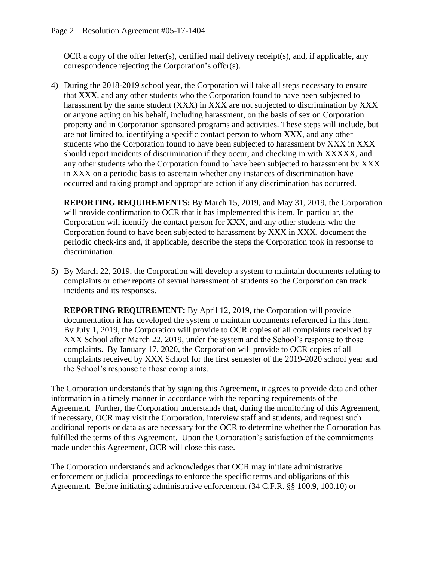OCR a copy of the offer letter(s), certified mail delivery receipt(s), and, if applicable, any correspondence rejecting the Corporation's offer(s).

4) During the 2018-2019 school year, the Corporation will take all steps necessary to ensure that XXX, and any other students who the Corporation found to have been subjected to harassment by the same student (XXX) in XXX are not subjected to discrimination by XXX or anyone acting on his behalf, including harassment, on the basis of sex on Corporation property and in Corporation sponsored programs and activities. These steps will include, but are not limited to, identifying a specific contact person to whom XXX, and any other students who the Corporation found to have been subjected to harassment by XXX in XXX should report incidents of discrimination if they occur, and checking in with XXXXX, and any other students who the Corporation found to have been subjected to harassment by XXX in XXX on a periodic basis to ascertain whether any instances of discrimination have occurred and taking prompt and appropriate action if any discrimination has occurred.

**REPORTING REQUIREMENTS:** By March 15, 2019, and May 31, 2019, the Corporation will provide confirmation to OCR that it has implemented this item. In particular, the Corporation will identify the contact person for XXX, and any other students who the Corporation found to have been subjected to harassment by XXX in XXX, document the periodic check-ins and, if applicable, describe the steps the Corporation took in response to discrimination.

5) By March 22, 2019, the Corporation will develop a system to maintain documents relating to complaints or other reports of sexual harassment of students so the Corporation can track incidents and its responses.

**REPORTING REQUIREMENT:** By April 12, 2019, the Corporation will provide documentation it has developed the system to maintain documents referenced in this item. By July 1, 2019, the Corporation will provide to OCR copies of all complaints received by XXX School after March 22, 2019, under the system and the School's response to those complaints. By January 17, 2020, the Corporation will provide to OCR copies of all complaints received by XXX School for the first semester of the 2019-2020 school year and the School's response to those complaints.

The Corporation understands that by signing this Agreement, it agrees to provide data and other information in a timely manner in accordance with the reporting requirements of the Agreement. Further, the Corporation understands that, during the monitoring of this Agreement, if necessary, OCR may visit the Corporation, interview staff and students, and request such additional reports or data as are necessary for the OCR to determine whether the Corporation has fulfilled the terms of this Agreement. Upon the Corporation's satisfaction of the commitments made under this Agreement, OCR will close this case.

The Corporation understands and acknowledges that OCR may initiate administrative enforcement or judicial proceedings to enforce the specific terms and obligations of this Agreement. Before initiating administrative enforcement (34 C.F.R. §§ 100.9, 100.10) or